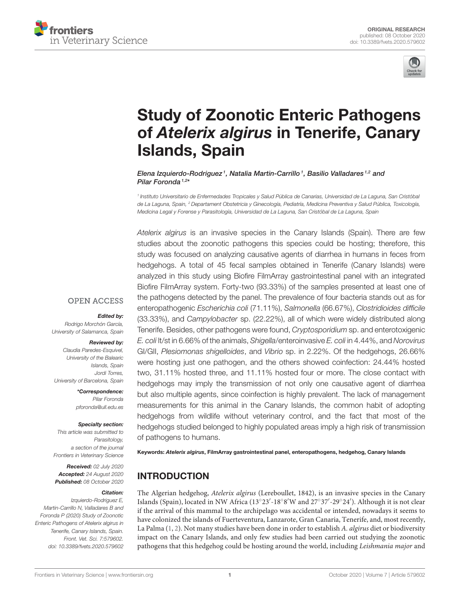



# [Study of Zoonotic Enteric Pathogens](https://www.frontiersin.org/articles/10.3389/fvets.2020.579602/full) of Atelerix algirus in Tenerife, Canary Islands, Spain

Elena Izquierdo-Rodriguez<sup>1</sup>, Natalia Martin-Carrillo<sup>1</sup>, Basilio Valladares<sup>1,2</sup> and Pilar Foronda <sup>1,2\*</sup>

<sup>1</sup> Instituto Universitario de Enfermedades Tropicales y Salud Pública de Canarias, Universidad de La Laguna, San Cristóbal de La Laguna, Spain, <sup>2</sup> Departament Obstetricia y Ginecología, Pediatría, Medicina Preventiva y Salud Pública, Toxicología, Medicina Legal y Forense y Parasitología, Universidad de La Laguna, San Cristóbal de La Laguna, Spain

Atelerix algirus is an invasive species in the Canary Islands (Spain). There are few studies about the zoonotic pathogens this species could be hosting; therefore, this study was focused on analyzing causative agents of diarrhea in humans in feces from hedgehogs. A total of 45 fecal samples obtained in Tenerife (Canary Islands) were analyzed in this study using Biofire FilmArray gastrointestinal panel with an integrated Biofire FilmArray system. Forty-two (93.33%) of the samples presented at least one of the pathogens detected by the panel. The prevalence of four bacteria stands out as for enteropathogenic Escherichia coli (71.11%), Salmonella (66.67%), Clostridioides difficile (33.33%), and Campylobacter sp. (22.22%), all of which were widely distributed along Tenerife. Besides, other pathogens were found, Cryptosporidium sp. and enterotoxigenic E. coli lt/st in 6.66% of the animals, Shigella/enteroinvasive E. coli in 4.44%, and Norovirus GI/GII, Plesiomonas shigelloides, and Vibrio sp. in 2.22%. Of the hedgehogs, 26.66% were hosting just one pathogen, and the others showed coinfection: 24.44% hosted two, 31.11% hosted three, and 11.11% hosted four or more. The close contact with hedgehogs may imply the transmission of not only one causative agent of diarrhea but also multiple agents, since coinfection is highly prevalent. The lack of management measurements for this animal in the Canary Islands, the common habit of adopting hedgehogs from wildlife without veterinary control, and the fact that most of the hedgehogs studied belonged to highly populated areas imply a high risk of transmission of pathogens to humans.

Keywords: Atelerix algirus, FilmArray gastrointestinal panel, enteropathogens, hedgehog, Canary Islands

# INTRODUCTION

The Algerian hedgehog, Atelerix algirus (Lereboullet, 1842), is an invasive species in the Canary Islands (Spain), located in NW Africa (13°23'-18°8'W and 27°37'-29°24'). Although it is not clear if the arrival of this mammal to the archipelago was accidental or intended, nowadays it seems to have colonized the islands of Fuerteventura, Lanzarote, Gran Canaria, Tenerife, and, most recently, La Palma [\(1,](#page-3-0) [2\)](#page-3-1). Not many studies have been done in order to establish A. algirus diet or biodiversity impact on the Canary Islands, and only few studies had been carried out studying the zoonotic pathogens that this hedgehog could be hosting around the world, including Leishmania major and

### **OPEN ACCESS**

#### Edited by:

Rodrigo Morchón García, University of Salamanca, Spain

#### Reviewed by:

Claudia Paredes-Esquivel, University of the Balearic Islands, Spain Jordi Torres, University of Barcelona, Spain

> \*Correspondence: Pilar Foronda [pforonda@ull.edu.es](mailto:pforonda@ull.edu.es)

#### Specialty section:

This article was submitted to Parasitology, a section of the journal Frontiers in Veterinary Science

Received: 02 July 2020 Accepted: 24 August 2020 Published: 08 October 2020

#### Citation:

Izquierdo-Rodriguez E, Martin-Carrillo N, Valladares B and Foronda P (2020) Study of Zoonotic Enteric Pathogens of Atelerix algirus in Tenerife, Canary Islands, Spain. Front. Vet. Sci. 7:579602. doi: [10.3389/fvets.2020.579602](https://doi.org/10.3389/fvets.2020.579602)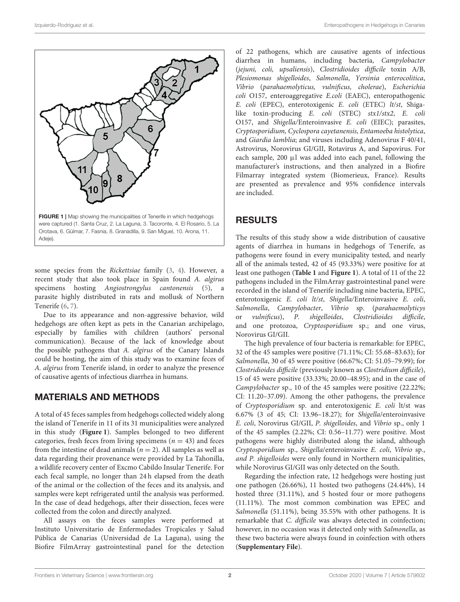

<span id="page-1-0"></span>some species from the Rickettsiae family [\(3,](#page-3-2) [4\)](#page-4-0). However, a recent study that also took place in Spain found A. algirus specimens hosting Angiostrongylus cantonensis [\(5\)](#page-4-1), a parasite highly distributed in rats and mollusk of Northern Tenerife [\(6,](#page-4-2) [7\)](#page-4-3).

Due to its appearance and non-aggressive behavior, wild hedgehogs are often kept as pets in the Canarian archipelago, especially by families with children (authors' personal communication). Because of the lack of knowledge about the possible pathogens that A. algirus of the Canary Islands could be hosting, the aim of this study was to examine feces of A. algirus from Tenerife island, in order to analyze the presence of causative agents of infectious diarrhea in humans.

### MATERIALS AND METHODS

A total of 45 feces samples from hedgehogs collected widely along the island of Tenerife in 11 of its 31 municipalities were analyzed in this study (**[Figure 1](#page-1-0)**). Samples belonged to two different categories, fresh feces from living specimens ( $n = 43$ ) and feces from the intestine of dead animals ( $n = 2$ ). All samples as well as data regarding their provenance were provided by La Tahonilla, a wildlife recovery center of Excmo Cabildo Insular Tenerife. For each fecal sample, no longer than 24 h elapsed from the death of the animal or the collection of the feces and its analysis, and samples were kept refrigerated until the analysis was performed. In the case of dead hedgehogs, after their dissection, feces were collected from the colon and directly analyzed.

All assays on the feces samples were performed at Instituto Universitario de Enfermedades Tropicales y Salud Pública de Canarias (Universidad de La Laguna), using the Biofire FilmArray gastrointestinal panel for the detection

of 22 pathogens, which are causative agents of infectious diarrhea in humans, including bacteria, Campylobacter (jejuni, coli, upsaliensis), Clostridioides difficile toxin A/B, Plesiomonas shigelloides, Salmonella, Yersinia enterocolitica, Vibrio (parahaemolyticus, vulnificus, cholerae), Escherichia coli O157, enteroaggregative E.coli (EAEC), enteropathogenic E. coli (EPEC), enterotoxigenic E. coli (ETEC) lt/st, Shigalike toxin-producing E. coli (STEC) stx1/stx2, E. coli O157, and Shigella/Enteroinvasive E. coli (EIEC); parasites, Cryptosporidium, Cyclospora cayetanensis, Entamoeba histolytica, and Giardia lamblia; and viruses including Adenovirus F 40/41, Astrovirus, Norovirus GI/GII, Rotavirus A, and Sapovirus. For each sample,  $200 \mu l$  was added into each panel, following the manufacturer's instructions, and then analyzed in a Biofire Filmarray integrated system (Biomerieux, France). Results are presented as prevalence and 95% confidence intervals are included.

## RESULTS

The results of this study show a wide distribution of causative agents of diarrhea in humans in hedgehogs of Tenerife, as pathogens were found in every municipality tested, and nearly all of the animals tested, 42 of 45 (93.33%) were positive for at least one pathogen (**[Table 1](#page-2-0)** and **[Figure 1](#page-1-0)**). A total of 11 of the 22 pathogens included in the FilmArray gastrointestinal panel were recorded in the island of Tenerife including nine bacteria, EPEC, enterotoxigenic E. coli lt/st, Shigella/Enteroinvasive E. coli, Salmonella, Campylobacter, Vibrio sp. (parahaemolyticys or vulnificus), P. shigelloides, Clostridioides difficile, and one protozoa, Cryptosporidium sp.; and one virus, Norovirus GI/GII.

The high prevalence of four bacteria is remarkable: for EPEC, 32 of the 45 samples were positive (71.11%; CI: 55.68–83.63); for Salmonella, 30 of 45 were positive (66.67%; CI: 51.05–79.99); for Clostridioides difficile (previously known as Clostridium difficile), 15 of 45 were positive (33.33%; 20.00–48.95); and in the case of Campylobacter sp., 10 of the 45 samples were positive (22.22%; CI: 11.20–37.09). Among the other pathogens, the prevalence of Cryptosporidium sp. and enterotoxigenic E. coli lt/st was 6.67% (3 of 45; CI: 13.96–18.27); for Shigella/enteroinvasive E. coli, Norovirus GI/GII, P. shigelloides, and Vibrio sp., only 1 of the 45 samples (2.22%; CI: 0.56–11.77) were positive. Most pathogens were highly distributed along the island, although Cryptosporidium sp., Shigella/enteroinvasive E. coli, Vibrio sp., and P. shigelloides were only found in Northern municipalities, while Norovirus GI/GII was only detected on the South.

Regarding the infection rate, 12 hedgehogs were hosting just one pathogen (26.66%), 11 hosted two pathogens (24.44%), 14 hosted three (31.11%), and 5 hosted four or more pathogens (11.11%). The most common combination was EPEC and Salmonella (51.11%), being 35.55% with other pathogens. It is remarkable that C. difficile was always detected in coinfection; however, in no occasion was it detected only with Salmonella, as these two bacteria were always found in coinfection with others (**[Supplementary File](#page-3-3)**).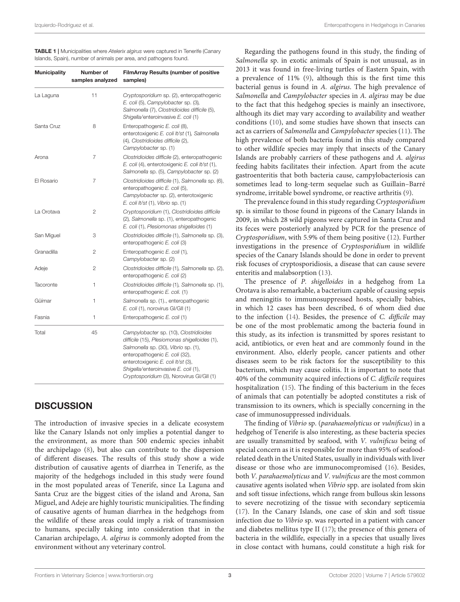<span id="page-2-0"></span>TABLE 1 | Municipalities where Atelerix algirus were captured in Tenerife (Canary Islands, Spain), number of animals per area, and pathogens found.

| <b>Municipality</b> | Number of<br>samples analyzed | <b>FilmArray Results (number of positive</b><br>samples)                                                                                                                                                                                                                                     |
|---------------------|-------------------------------|----------------------------------------------------------------------------------------------------------------------------------------------------------------------------------------------------------------------------------------------------------------------------------------------|
| La Laguna           | 11                            | Cryptosporidium sp. (2), enteropathogenic<br>E. coli (5), Campylobacter sp. (3),<br>Salmonella (7), Clostridioides difficile (5),<br>Shigella/enteroinvasive E. coli (1)                                                                                                                     |
| Santa Cruz          | 8                             | Enteropathogenic E. coli (8),<br>enterotoxigenic E. coli It/st (1), Salmonella<br>(4), Clostridioides difficile (2),<br>Campylobacter sp. (1)                                                                                                                                                |
| Arona               | 7                             | Clostridioides difficile (2), enteropathogenic<br>E. coli (4), enterotoxigenic E. coli lt/st (1),<br>Salmonella sp. (5), Campylobacter sp. (2)                                                                                                                                               |
| El Rosario          | 7                             | Clostridioides difficile (1), Salmonella sp. (6),<br>enteropathogenic E. coli (5),<br>Campylobacter sp. (2), enterotoxigenic<br>E. coli lt/st (1), Vibrio sp. (1)                                                                                                                            |
| La Orotava          | 2                             | Cryptosporidium (1), Clostridioides difficile<br>(2), Salmonella sp. (1), enteropathogenic<br>E. coli (1), Plesiomonas shigelloides (1)                                                                                                                                                      |
| San Miguel          | 3                             | Clostridioides difficile (1), Salmonella sp. (3),<br>enteropathogenic E. coli (3)                                                                                                                                                                                                            |
| Granadilla          | 2                             | Enteropathogenic E. coli (1),<br>Campylobacter sp. (2)                                                                                                                                                                                                                                       |
| Adeje               | 2                             | Clostridioides difficile (1), Salmonella sp. (2),<br>enteropathogenic E. coli (2)                                                                                                                                                                                                            |
| Tacoronte           | 1                             | Clostridioides difficile (1), Salmonella sp. (1),<br>enteropathogenic E. coli. (1)                                                                                                                                                                                                           |
| Güímar              | 1                             | Salmonella sp. (1)., enteropathogenic<br>E. coli (1), norovirus GI/GII (1)                                                                                                                                                                                                                   |
| Fasnia              | 1                             | Enteropathogenic E. coli (1)                                                                                                                                                                                                                                                                 |
| Total               | 45                            | Campylobacter sp. (10), Clostridioides<br>difficile (15), Plesiomonas shigelloides (1),<br>Salmonella sp. (30), Vibrio sp. (1),<br>enteropathogenic E. coli (32),<br>enterotoxigenic E. coli lt/st (3),<br>Shigella/enteroinvasive E. coli (1),<br>Cryptosporidium (3), Norovirus GI/GII (1) |

# **DISCUSSION**

The introduction of invasive species in a delicate ecosystem like the Canary Islands not only implies a potential danger to the environment, as more than 500 endemic species inhabit the archipelago [\(8\)](#page-4-4), but also can contribute to the dispersion of different diseases. The results of this study show a wide distribution of causative agents of diarrhea in Tenerife, as the majority of the hedgehogs included in this study were found in the most populated areas of Tenerife, since La Laguna and Santa Cruz are the biggest cities of the island and Arona, San Miguel, and Adeje are highly touristic municipalities. The finding of causative agents of human diarrhea in the hedgehogs from the wildlife of these areas could imply a risk of transmission to humans, specially taking into consideration that in the Canarian archipelago, A. algirus is commonly adopted from the environment without any veterinary control.

Regarding the pathogens found in this study, the finding of Salmonella sp. in exotic animals of Spain is not unusual, as in 2013 it was found in free-living turtles of Eastern Spain, with a prevalence of 11% [\(9\)](#page-4-5), although this is the first time this bacterial genus is found in A. algirus. The high prevalence of Salmonella and Campylobacter species in A. algirus may be due to the fact that this hedgehog species is mainly an insectivore, although its diet may vary according to availability and weather conditions [\(10\)](#page-4-6), and some studies have shown that insects can act as carriers of Salmonella and Campylobacter species [\(11\)](#page-4-7). The high prevalence of both bacteria found in this study compared to other wildlife species may imply that insects of the Canary Islands are probably carriers of these pathogens and A. algirus feeding habits facilitates their infection. Apart from the acute gastroenteritis that both bacteria cause, campylobacteriosis can sometimes lead to long-term sequelae such as Guillain–Barré syndrome, irritable bowel syndrome, or reactive arthritis [\(9\)](#page-4-5).

The prevalence found in this study regarding Cryptosporidium sp. is similar to those found in pigeons of the Canary Islands in 2009, in which 28 wild pigeons were captured in Santa Cruz and its feces were posteriorly analyzed by PCR for the presence of Cryptosporidium, with 5.9% of them being positive [\(12\)](#page-4-8). Further investigations in the presence of Cryptosporidium in wildlife species of the Canary Islands should be done in order to prevent risk focuses of cryptosporidiosis, a disease that can cause severe enteritis and malabsorption [\(13\)](#page-4-9).

The presence of P. shigelloides in a hedgehog from La Orotava is also remarkable, a bacterium capable of causing sepsis and meningitis to immunosuppressed hosts, specially babies, in which 12 cases has been described, 6 of whom died due to the infection [\(14\)](#page-4-10). Besides, the presence of C. difficile may be one of the most problematic among the bacteria found in this study, as its infection is transmitted by spores resistant to acid, antibiotics, or even heat and are commonly found in the environment. Also, elderly people, cancer patients and other diseases seem to be risk factors for the susceptibility to this bacterium, which may cause colitis. It is important to note that 40% of the community acquired infections of C. difficile requires hospitalization [\(15\)](#page-4-11). The finding of this bacterium in the feces of animals that can potentially be adopted constitutes a risk of transmission to its owners, which is specially concerning in the case of immunosuppressed individuals.

The finding of Vibrio sp. (parahaemolyticus or vulnificus) in a hedgehog of Tenerife is also interesting, as these bacteria species are usually transmitted by seafood, with V. vulnificus being of special concern as it is responsible for more than 95% of seafoodrelated death in the United States, usually in individuals with liver disease or those who are immunocompromised [\(16\)](#page-4-12). Besides, both V. parahaemolyticus and V. vulnificus are the most common causative agents isolated when Vibrio spp. are isolated from skin and soft tissue infections, which range from bullous skin lessons to severe necrotizing of the tissue with secondary septicemia [\(17\)](#page-4-13). In the Canary Islands, one case of skin and soft tissue infection due to Vibrio sp. was reported in a patient with cancer and diabetes mellitus type II [\(17\)](#page-4-13); the presence of this genera of bacteria in the wildlife, especially in a species that usually lives in close contact with humans, could constitute a high risk for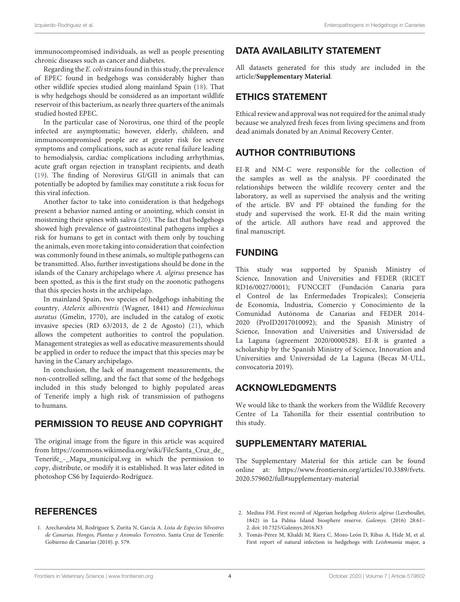immunocompromised individuals, as well as people presenting chronic diseases such as cancer and diabetes.

Regarding the E. colistrains found in this study, the prevalence of EPEC found in hedgehogs was considerably higher than other wildlife species studied along mainland Spain [\(18\)](#page-4-14). That is why hedgehogs should be considered as an important wildlife reservoir of this bacterium, as nearly three quarters of the animals studied hosted EPEC.

In the particular case of Norovirus, one third of the people infected are asymptomatic; however, elderly, children, and immunocompromised people are at greater risk for severe symptoms and complications, such as acute renal failure leading to hemodialysis, cardiac complications including arrhythmias, acute graft organ rejection in transplant recipients, and death [\(19\)](#page-4-15). The finding of Norovirus GI/GII in animals that can potentially be adopted by families may constitute a risk focus for this viral infection.

Another factor to take into consideration is that hedgehogs present a behavior named anting or anointing, which consist in moistening their spines with saliva [\(20\)](#page-4-16). The fact that hedgehogs showed high prevalence of gastrointestinal pathogens implies a risk for humans to get in contact with them only by touching the animals, even more taking into consideration that coinfection was commonly found in these animals, so multiple pathogens can be transmitted. Also, further investigations should be done in the islands of the Canary archipelago where A. algirus presence has been spotted, as this is the first study on the zoonotic pathogens that this species hosts in the archipelago.

In mainland Spain, two species of hedgehogs inhabiting the country, Atelerix albiventris (Wagner, 1841) and Hemiechinus auratus (Gmelin, 1770), are included in the catalog of exotic invasive species (RD 63/2013, de 2 de Agosto) [\(21\)](#page-4-17), which allows the competent authorities to control the population. Management strategies as well as educative measurements should be applied in order to reduce the impact that this species may be having in the Canary archipelago.

In conclusion, the lack of management measurements, the non-controlled selling, and the fact that some of the hedgehogs included in this study belonged to highly populated areas of Tenerife imply a high risk of transmission of pathogens to humans.

## PERMISSION TO REUSE AND COPYRIGHT

The original image from the figure in this article was acquired from [https://commons.wikimedia.org/wiki/File:Santa\\_Cruz\\_de\\_](https://commons.wikimedia.org/wiki/File:Santa_Cruz_de_Tenerife_-_Mapa_municipal.svg) [Tenerife\\_-\\_Mapa\\_municipal.svg](https://commons.wikimedia.org/wiki/File:Santa_Cruz_de_Tenerife_-_Mapa_municipal.svg) in which the permission to copy, distribute, or modify it is established. It was later edited in photoshop CS6 by Izquierdo-Rodríguez.

# **REFERENCES**

<span id="page-3-0"></span>1. Arechavaleta M, Rodríguez S, Zurita N, García A. Lista de Especies Silvestres de Canarias. Hongos, Plantas y Animales Terrestres. Santa Cruz de Tenerife: Gobierno de Canarias (2010). p. 579.

# DATA AVAILABILITY STATEMENT

All datasets generated for this study are included in the article/**[Supplementary Material](#page-3-3)**.

# ETHICS STATEMENT

Ethical review and approval was not required for the animal study because we analyzed fresh feces from living specimens and from dead animals donated by an Animal Recovery Center.

# AUTHOR CONTRIBUTIONS

EI-R and NM-C were responsible for the collection of the samples as well as the analysis. PF coordinated the relationships between the wildlife recovery center and the laboratory, as well as supervised the analysis and the writing of the article. BV and PF obtained the funding for the study and supervised the work. EI-R did the main writing of the article. All authors have read and approved the final manuscript.

# FUNDING

This study was supported by Spanish Ministry of Science, Innovation and Universities and FEDER (RICET RD16/0027/0001); FUNCCET (Fundación Canaria para el Control de las Enfermedades Tropicales); Consejería de Economía, Industria, Comercio y Conocimiento de la Comunidad Autónoma de Canarias and FEDER 2014- 2020 (ProID2017010092); and the Spanish Ministry of Science, Innovation and Universities and Universidad de La Laguna (agreement 2020/0000528). EI-R is granted a scholarship by the Spanish Ministry of Science, Innovation and Universities and Universidad de La Laguna (Becas M-ULL, convocatoria 2019).

### ACKNOWLEDGMENTS

We would like to thank the workers from the Wildlife Recovery Centre of La Tahonilla for their essential contribution to this study.

# SUPPLEMENTARY MATERIAL

<span id="page-3-3"></span>The Supplementary Material for this article can be found [online at: https://www.frontiersin.org/articles/10.3389/fvets.](https://www.frontiersin.org/articles/10.3389/fvets.2020.579602/full#supplementary-material) 2020.579602/full#supplementary-material

- <span id="page-3-1"></span>2. Medina FM. First record of Algerian hedgehog Atelerix algirus (Lereboullet, 1842) in La Palma Island biosphere reserve. Galemys. (2016) 28:61– 2. doi: [10.7325/Galemys.2016.N3](https://doi.org/10.7325/Galemys.2016.N3)
- <span id="page-3-2"></span>3. Tomás-Pérez M, Khaldi M, Riera C, Mozo-León D, Ribas A, Hide M, et al. First report of natural infection in hedgehogs with Leishmania major, a